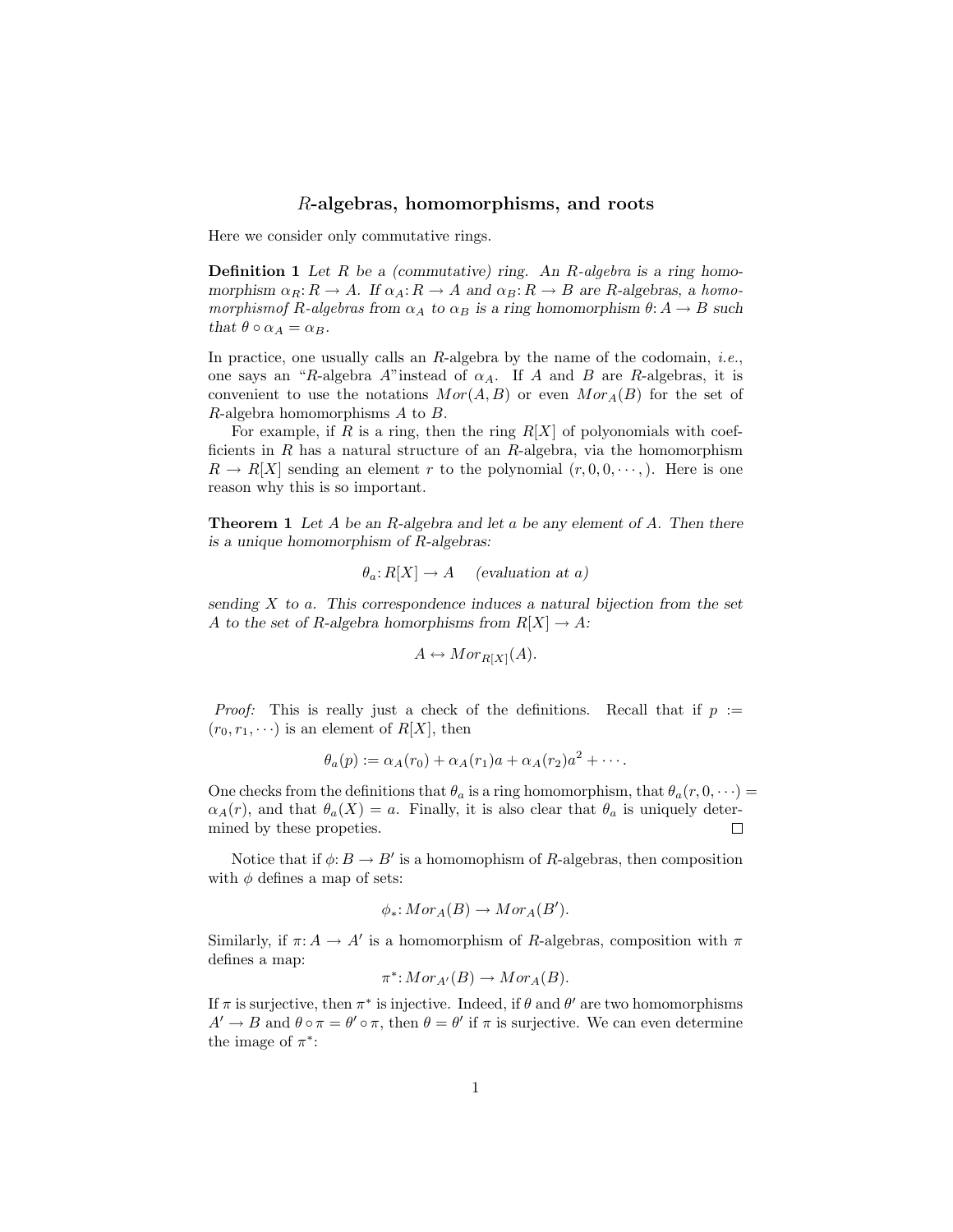## R-algebras, homomorphisms, and roots

Here we consider only commutative rings.

**Definition 1** Let  $R$  be a (commutative) ring. An  $R$ -algebra is a ring homomorphism  $\alpha_R: R \to A$ . If  $\alpha_A: R \to A$  and  $\alpha_B: R \to B$  are R-algebras, a homomorphismof R-algebras from  $\alpha_A$  to  $\alpha_B$  is a ring homomorphism  $\theta: A \to B$  such that  $\theta \circ \alpha_A = \alpha_B$ .

In practice, one usually calls an  $R$ -algebra by the name of the codomain, *i.e.*, one says an "R-algebra A"instead of  $\alpha_A$ . If A and B are R-algebras, it is convenient to use the notations  $Mor(A, B)$  or even  $Mor_A(B)$  for the set of  $R$ -algebra homomorphisms  $A$  to  $B$ .

For example, if R is a ring, then the ring  $R[X]$  of polyonomials with coefficients in R has a natural structure of an R-algebra, via the homomorphism  $R \to R[X]$  sending an element r to the polynomial  $(r, 0, 0, \dots)$ . Here is one reason why this is so important.

**Theorem 1** Let A be an R-algebra and let a be any element of A. Then there is a unique homomorphism of R-algebras:

$$
\theta_a \colon R[X] \to A \quad \text{(evaluation at a)}
$$

sending  $X$  to a. This correspondence induces a natural bijection from the set A to the set of R-algebra homorphisms from  $R[X] \to A$ :

$$
A \leftrightarrow Mor_{R[X]}(A).
$$

*Proof:* This is really just a check of the definitions. Recall that if  $p :=$  $(r_0, r_1, \dots)$  is an element of  $R[X]$ , then

$$
\theta_a(p) := \alpha_A(r_0) + \alpha_A(r_1)a + \alpha_A(r_2)a^2 + \cdots
$$

One checks from the definitions that  $\theta_a$  is a ring homomorphism, that  $\theta_a(r, 0, \dots)$  $\alpha_A(r)$ , and that  $\theta_a(X) = a$ . Finally, it is also clear that  $\theta_a$  is uniquely determined by these propeties.  $\Box$ 

Notice that if  $\phi: B \to B'$  is a homomophism of R-algebras, then composition with  $\phi$  defines a map of sets:

$$
\phi_*: Mor_A(B) \to Mor_A(B').
$$

Similarly, if  $\pi: A \to A'$  is a homomorphism of R-algebras, composition with  $\pi$ defines a map:

$$
\pi^* \colon Mor_{A'}(B) \to Mor_A(B).
$$

If  $\pi$  is surjective, then  $\pi^*$  is injective. Indeed, if  $\theta$  and  $\theta'$  are two homomorphisms  $A' \to B$  and  $\theta \circ \pi = \theta' \circ \pi$ , then  $\theta = \theta'$  if  $\pi$  is surjective. We can even determine the image of  $\pi^*$ :